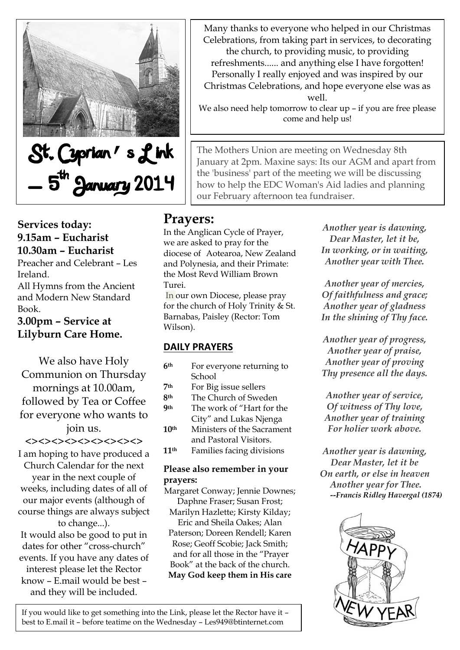

Many thanks to everyone who helped in our Christmas Celebrations, from taking part in services, to decorating the church, to providing music, to providing refreshments...... and anything else I have forgotten! Personally I really enjoyed and was inspired by our

Christmas Celebrations, and hope everyone else was as well.

We also need help tomorrow to clear up – if you are free please come and help us!

The Mothers Union are meeting on Wednesday 8th January at 2pm. Maxine says: Its our AGM and apart from the 'business' part of the meeting we will be discussing how to help the EDC Woman's Aid ladies and planning our February afternoon tea fundraiser.

# **Prayers:**

In the Anglican Cycle of Prayer, we are asked to pray for the diocese of Aotearoa, New Zealand and Polynesia, and their Primate: the Most Revd William Brown Turei.

In our own Diocese, please pray for the church of Holy Trinity & St. Barnabas, Paisley (Rector: Tom Wilson).

## **DAILY PRAYERS**

- **6th** For everyone returning to School
- **7th** For Big issue sellers
- **8th** The Church of Sweden **9th** The work of "Hart for the City" and Lukas Njenga

**10th** Ministers of the Sacrament and Pastoral Visitors.

**11th** Families facing divisions

### **Please also remember in your prayers:**

Margaret Conway; Jennie Downes; Daphne Fraser; Susan Frost;

Marilyn Hazlette; Kirsty Kilday; Eric and Sheila Oakes; Alan Paterson; Doreen Rendell; Karen Rose; Geoff Scobie; Jack Smith; and for all those in the "Prayer Book" at the back of the church. **May God keep them in His care**

*Another year is dawning, Dear Master, let it be, In working, or in waiting, Another year with Thee.*

*Another year of mercies, Of faithfulness and grace; Another year of gladness In the shining of Thy face.*

*Another year of progress, Another year of praise, Another year of proving Thy presence all the days.*

*Another year of service, Of witness of Thy love, Another year of training For holier work above.*

*Another year is dawning, Dear Master, let it be On earth, or else in heaven Another year for Thee. --Francis Ridley Havergal (1874)*



### **Services today: 9.15am – Eucharist 10.30am – Eucharist**

Preacher and Celebrant – Les Ireland.

All Hymns from the Ancient and Modern New Standard Book.

**3.00pm – Service at Lilyburn Care Home.**

We also have Holy Communion on Thursday mornings at 10.00am, followed by Tea or Coffee for everyone who wants to join us. <><><><><><><><><>

I am hoping to have produced a Church Calendar for the next year in the next couple of weeks, including dates of all of our major events (although of course things are always subject to change...).

It would also be good to put in dates for other "cross-church" events. If you have any dates of interest please let the Rector know – E.mail would be best – and they will be included.

If you would like to get something into the Link, please let the Rector have it – best to E.mail it – before teatime on the Wednesday – Les949@btinternet.com